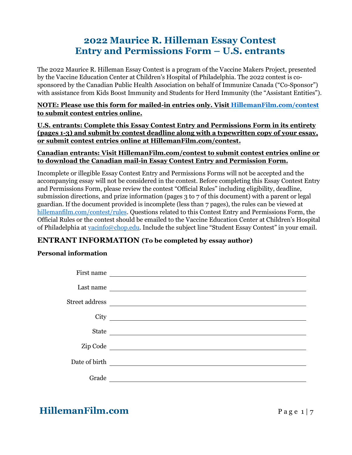# **2022 Maurice R. Hilleman Essay Contest Entry and Permissions Form – U.S. entrants**

The 2022 Maurice R. Hilleman Essay Contest is a program of the Vaccine Makers Project, presented by the Vaccine Education Center at Children's Hospital of Philadelphia. The 2022 contest is cosponsored by the Canadian Public Health Association on behalf of Immunize Canada ("Co-Sponsor") with assistance from Kids Boost Immunity and Students for Herd Immunity (the "Assistant Entities").

**NOTE: Please use this form for mailed-in entries only. Visit [HillemanFilm.com/contest](https://hillemanfilm.com/contest) to submit contest entries online.** 

**U.S. entrants: Complete this Essay Contest Entry and Permissions Form in its entirety (pages 1-3) and submit by contest deadline along with a typewritten copy of your essay, or submit contest entries online at HillemanFilm.com/contest.**

### **Canadian entrants: Visit HillemanFilm.com/contest to submit contest entries online or to download the Canadian mail-in Essay Contest Entry and Permission Form.**

Incomplete or illegible Essay Contest Entry and Permissions Forms will not be accepted and the accompanying essay will not be considered in the contest. Before completing this Essay Contest Entry and Permissions Form, please review the contest "Official Rules" including eligibility, deadline, submission directions, and prize information (pages 3 to 7 of this document) with a parent or legal guardian. If the document provided is incomplete (less than 7 pages), the rules can be viewed at [hillemanfilm.com/contest/rules.](https://hillemanfilm.com/contest/rules) Questions related to this Contest Entry and Permissions Form, the Official Rules or the contest should be emailed to the Vaccine Education Center at Children's Hospital of Philadelphia at [vacinfo@chop.edu](mailto:vacinfo@chop.edu). Include the subject line "Student Essay Contest" in your email.

## **ENTRANT INFORMATION (To be completed by essay author)**

### **Personal information**

| First name    | <u> 1989 - Andrea Alemania, politikar politikar (h. 1989)</u>                                                        |
|---------------|----------------------------------------------------------------------------------------------------------------------|
| Last name     |                                                                                                                      |
|               |                                                                                                                      |
| City          | <u> 1989 - Andrea Station Barbara, amerikan personal (h. 1989)</u>                                                   |
| <b>State</b>  |                                                                                                                      |
| Zip Code      | <u> 1989 - Johann Stein, mars an deutscher Stein und der Stein und der Stein und der Stein und der Stein und der</u> |
| Date of birth | <u> 1989 - Johann Stein, fransk politik (d. 1989)</u>                                                                |
| Grade         |                                                                                                                      |

# **HillemanFilm.com** Page 1 | 7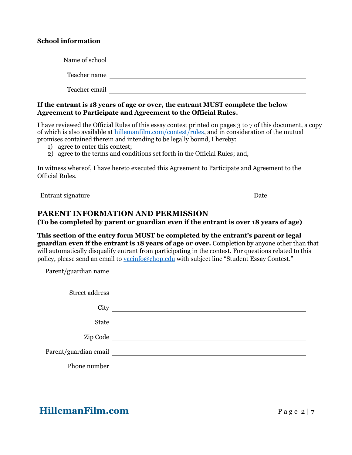### **School information**

| Name of school |  |
|----------------|--|
| Teacher name   |  |
|                |  |
| Teacher email  |  |

**If the entrant is 18 years of age or over, the entrant MUST complete the below Agreement to Participate and Agreement to the Official Rules.**

I have reviewed the Official Rules of this essay contest printed on pages 3 to 7 of this document, a copy of which is also available at [hillemanfilm.com/contest/rules,](https://hillemanfilm.com/contest/rules) and in consideration of the mutual promises contained therein and intending to be legally bound, I hereby:

- 1) agree to enter this contest;
- 2) agree to the terms and conditions set forth in the Official Rules; and,

In witness whereof, I have hereto executed this Agreement to Participate and Agreement to the Official Rules.

Entrant signature Date

### **PARENT INFORMATION AND PERMISSION**

**(To be completed by parent or guardian even if the entrant is over 18 years of age)** 

**This section of the entry form MUST be completed by the entrant's parent or legal guardian even if the entrant is 18 years of age or over.** Completion by anyone other than that will automatically disqualify entrant from participating in the contest. For questions related to this policy, please send an email t[o vacinfo@chop.edu](mailto:vacinfo@chop.edu) with subject line "Student Essay Contest."

Parent/guardian name

| Street address        | <u> 1980 - Antonio Alemania, prima postala pre</u>                                                                      |
|-----------------------|-------------------------------------------------------------------------------------------------------------------------|
| City                  |                                                                                                                         |
| State                 | <u> The Communication of the Communication of the Communication of the Communication of the Communication of the Co</u> |
| Zip Code              | <u> 1989 - Andrea Station Barbara (b. 1989)</u>                                                                         |
| Parent/guardian email |                                                                                                                         |
| Phone number          |                                                                                                                         |

**HillemanFilm.com** Page 2 | 7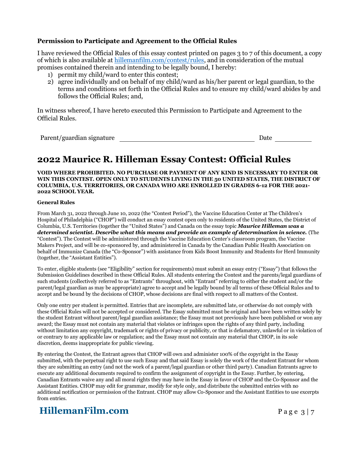### **Permission to Participate and Agreement to the Official Rules**

I have reviewed the Official Rules of this essay contest printed on pages 3 to 7 of this document, a copy of which is also available at [hillemanfilm.com/contest/rules,](https://hillemanfilm.com/contest/rules) and in consideration of the mutual promises contained therein and intending to be legally bound, I hereby:

- 1) permit my child/ward to enter this contest;
- 2) agree individually and on behalf of my child/ward as his/her parent or legal guardian, to the terms and conditions set forth in the Official Rules and to ensure my child/ward abides by and follows the Official Rules; and,

In witness whereof, I have hereto executed this Permission to Participate and Agreement to the Official Rules.

Parent/guardian signature Date Date

# **2022 Maurice R. Hilleman Essay Contest: Official Rules**

#### **VOID WHERE PROHIBITED. NO PURCHASE OR PAYMENT OF ANY KIND IS NECESSARY TO ENTER OR WIN THIS CONTEST. OPEN ONLY TO STUDENTS LIVING IN THE 50 UNITED STATES, THE DISTRICT OF COLUMBIA, U.S. TERRITORIES, OR CANADA WHO ARE ENROLLED IN GRADES 6-12 FOR THE 2021- 2022 SCHOOL YEAR.**

#### **General Rules**

From March 31, 2022 through June 10, 2022 (the "Contest Period"), the Vaccine Education Center at The Children's Hospital of Philadelphia ("CHOP") will conduct an essay contest open only to residents of the United States, the District of Columbia, U.S. Territories (together the "United States") and Canada on the essay topic *Maurice Hilleman was a determined scientist. Describe what this means and provide an example of determination in science.* (The "Contest"). The Contest will be administered through the Vaccine Education Center's classroom program, the Vaccine Makers Project, and will be co-sponsored by, and administered in Canada by the Canadian Public Health Association on behalf of Immunize Canada (the "Co-Sponsor") with assistance from Kids Boost Immunity and Students for Herd Immunity (together, the "Assistant Entities").

To enter, eligible students (see "Eligibility" section for requirements) must submit an essay entry ("Essay") that follows the Submission Guidelines described in these Official Rules. All students entering the Contest and the parents/legal guardians of such students (collectively referred to as "Entrants" throughout, with "Entrant" referring to either the student and/or the parent/legal guardian as may be appropriate) agree to accept and be legally bound by all terms of these Official Rules and to accept and be bound by the decisions of CHOP, whose decisions are final with respect to all matters of the Contest.

Only one entry per student is permitted. Entries that are incomplete, are submitted late, or otherwise do not comply with these Official Rules will not be accepted or considered. The Essay submitted must be original and have been written solely by the student Entrant without parent/legal guardian assistance; the Essay must not previously have been published or won any award; the Essay must not contain any material that violates or infringes upon the rights of any third party, including without limitation any copyright, trademark or rights of privacy or publicity, or that is defamatory, unlawful or in violation of or contrary to any applicable law or regulation; and the Essay must not contain any material that CHOP, in its sole discretion, deems inappropriate for public viewing.

By entering the Contest, the Entrant agrees that CHOP will own and administer 100% of the copyright in the Essay submitted, with the perpetual right to use such Essay and that said Essay is solely the work of the student Entrant for whom they are submitting an entry (and not the work of a parent/legal guardian or other third party). Canadian Entrants agree to execute any additional documents required to confirm the assignment of copyright in the Essay. Further, by entering, Canadian Entrants waive any and all moral rights they may have in the Essay in favor of CHOP and the Co-Sponsor and the Assistant Entities. CHOP may edit for grammar, modify for style only, and distribute the submitted entries with no additional notification or permission of the Entrant. CHOP may allow Co-Sponsor and the Assistant Entities to use excerpts from entries.

# **HillemanFilm.com** Page 3 | 7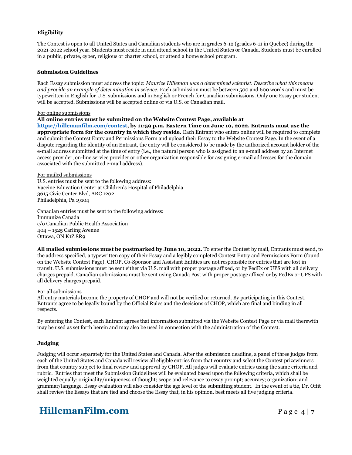#### **Eligibility**

The Contest is open to all United States and Canadian students who are in grades 6-12 (grades 6-11 in Quebec) during the 2021-2022 school year. Students must reside in and attend school in the United States or Canada. Students must be enrolled in a public, private, cyber, religious or charter school, or attend a home school program.

#### **Submission Guidelines**

Each Essay submission must address the topic: *Maurice Hilleman was a determined scientist. Describe what this means and provide an example of determination in science.* Each submission must be between 500 and 600 words and must be typewritten in English for U.S. submissions and in English or French for Canadian submissions. Only one Essay per student will be accepted. Submissions will be accepted online or via U.S. or Canadian mail.

#### For online submissions

#### **All online entries must be submitted on the Website Contest Page, available at**

**[https://hillemanfilm.com/contest,](https://hillemanfilm.com/contest) by 11:59 p.m. Eastern Time on June 10, 2022. Entrants must use the appropriate form for the country in which they reside.** Each Entrant who enters online will be required to complete and submit the Contest Entry and Permissions Form and upload their Essay to the Website Contest Page. In the event of a dispute regarding the identity of an Entrant, the entry will be considered to be made by the authorized account holder of the e-mail address submitted at the time of entry (i.e., the natural person who is assigned to an e-mail address by an Internet access provider, on-line service provider or other organization responsible for assigning e-mail addresses for the domain associated with the submitted e-mail address).

For mailed submissions

U.S. entries must be sent to the following address: Vaccine Education Center at Children's Hospital of Philadelphia 3615 Civic Center Blvd, ARC 1202 Philadelphia, Pa 19104

Canadian entries must be sent to the following address: Immunize Canada c/o Canadian Public Health Association 404 – 1525 Carling Avenue Ottawa, ON K1Z 8R9

**All mailed submissions must be postmarked by June 10, 2022.** To enter the Contest by mail, Entrants must send, to the address specified, a typewritten copy of their Essay and a legibly completed Contest Entry and Permissions Form (found on the Website Contest Page). CHOP, Co-Sponsor and Assistant Entities are not responsible for entries that are lost in transit. U.S. submissions must be sent either via U.S. mail with proper postage affixed, or by FedEx or UPS with all delivery charges prepaid. Canadian submissions must be sent using Canada Post with proper postage affixed or by FedEx or UPS with all delivery charges prepaid.

#### For all submissions

All entry materials become the property of CHOP and will not be verified or returned. By participating in this Contest, Entrants agree to be legally bound by the Official Rules and the decisions of CHOP, which are final and binding in all respects.

By entering the Contest, each Entrant agrees that information submitted via the Website Contest Page or via mail therewith may be used as set forth herein and may also be used in connection with the administration of the Contest.

#### **Judging**

Judging will occur separately for the United States and Canada. After the submission deadline, a panel of three judges from each of the United States and Canada will review all eligible entries from that country and select the Contest prizewinners from that country subject to final review and approval by CHOP. All judges will evaluate entries using the same criteria and rubric. Entries that meet the Submission Guidelines will be evaluated based upon the following criteria, which shall be weighted equally: originality/uniqueness of thought; scope and relevance to essay prompt; accuracy; organization; and grammar/language. Essay evaluation will also consider the age level of the submitting student. In the event of a tie, Dr. Offit shall review the Essays that are tied and choose the Essay that, in his opinion, best meets all five judging criteria.

## **HillemanFilm.com** Page 4 | 7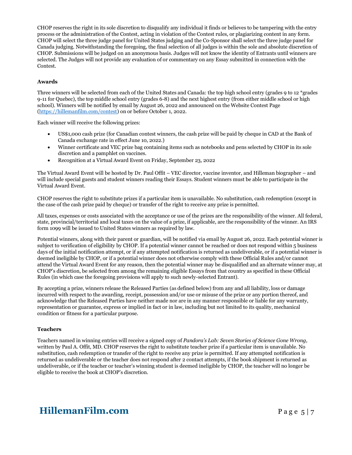CHOP reserves the right in its sole discretion to disqualify any individual it finds or believes to be tampering with the entry process or the administration of the Contest, acting in violation of the Contest rules, or plagiarizing content in any form. CHOP will select the three judge panel for United States judging and the Co-Sponsor shall select the three judge panel for Canada judging. Notwithstanding the foregoing, the final selection of all judges is within the sole and absolute discretion of CHOP. Submissions will be judged on an anonymous basis. Judges will not know the identity of Entrants until winners are selected. The Judges will not provide any evaluation of or commentary on any Essay submitted in connection with the Contest.

#### **Awards**

Three winners will be selected from each of the United States and Canada: the top high school entry (grades 9 to 12 \*grades 9-11 for Quebec), the top middle school entry (grades 6-8) and the next highest entry (from either middle school or high school). Winners will be notified by email by August 26, 2022 and announced on the Website Contest Page [\(https://hillemanfilm.com/contest\)](https://hillemanfilm.com/contest) on or before October 1, 2022.

Each winner will receive the following prizes:

- US\$1,000 cash prize (for Canadian contest winners, the cash prize will be paid by cheque in CAD at the Bank of Canada exchange rate in effect June 10, 2022.)
- Winner certificate and VEC prize bag containing items such as notebooks and pens selected by CHOP in its sole discretion and a pamphlet on vaccines.
- Recognition at a Virtual Award Event on Friday, September 23, 2022

The Virtual Award Event will be hosted by Dr. Paul Offit – VEC director, vaccine inventor, and Hilleman biographer – and will include special guests and student winners reading their Essays. Student winners must be able to participate in the Virtual Award Event.

CHOP reserves the right to substitute prizes if a particular item is unavailable. No substitution, cash redemption (except in the case of the cash prize paid by cheque) or transfer of the right to receive any prize is permitted.

All taxes, expenses or costs associated with the acceptance or use of the prizes are the responsibility of the winner. All federal, state, provincial/territorial and local taxes on the value of a prize, if applicable, are the responsibility of the winner. An IRS form 1099 will be issued to United States winners as required by law.

Potential winners, along with their parent or guardian, will be notified via email by August 26, 2022. Each potential winner is subject to verification of eligibility by CHOP. If a potential winner cannot be reached or does not respond within 5 business days of the initial notification attempt, or if any attempted notification is returned as undeliverable, or if a potential winner is deemed ineligible by CHOP, or if a potential winner does not otherwise comply with these Official Rules and/or cannot attend the Virtual Award Event for any reason, then the potential winner may be disqualified and an alternate winner may, at CHOP's discretion, be selected from among the remaining eligible Essays from that country as specified in these Official Rules (in which case the foregoing provisions will apply to such newly-selected Entrant).

By accepting a prize, winners release the Released Parties (as defined below) from any and all liability, loss or damage incurred with respect to the awarding, receipt, possession and/or use or misuse of the prize or any portion thereof, and acknowledge that the Released Parties have neither made nor are in any manner responsible or liable for any warranty, representation or guarantee, express or implied in fact or in law, including but not limited to its quality, mechanical condition or fitness for a particular purpose.

#### **Teachers**

Teachers named in winning entries will receive a signed copy of *Pandora's Lab: Seven Stories of Science Gone Wrong,* written by Paul A. Offit, MD. CHOP reserves the right to substitute teacher prize if a particular item is unavailable. No substitution, cash redemption or transfer of the right to receive any prize is permitted. If any attempted notification is returned as undeliverable or the teacher does not respond after 2 contact attempts, if the book shipment is returned as undeliverable, or if the teacher or teacher's winning student is deemed ineligible by CHOP, the teacher will no longer be eligible to receive the book at CHOP's discretion.

## **HillemanFilm.com** Page 5 | 7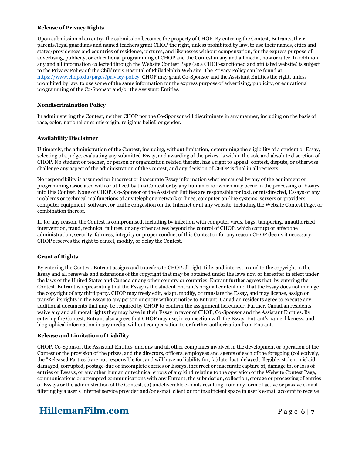#### **Release of Privacy Rights**

Upon submission of an entry, the submission becomes the property of CHOP. By entering the Contest, Entrants, their parents/legal guardians and named teachers grant CHOP the right, unless prohibited by law, to use their names, cities and states/providences and countries of residence, pictures, and likenesses without compensation, for the express purpose of advertising, publicity, or educational programming of CHOP and the Contest in any and all media, now or after. In addition, any and all information collected through the Website Contest Page (as a CHOP-sanctioned and affiliated website) is subject to the Privacy Policy of The Children's Hospital of Philadelphia Web site. The Privacy Policy can be found at [https://www.chop.edu/pages/privacy-policy.](https://www.chop.edu/pages/privacy-policy) CHOP may grant Co-Sponsor and the Assistant Entities the right, unless prohibited by law, to use some of the same information for the express purpose of advertising, publicity, or educational programming of the Co-Sponsor and/or the Assistant Entities.

#### **Nondiscrimination Policy**

In administering the Contest, neither CHOP nor the Co-Sponsor will discriminate in any manner, including on the basis of race, color, national or ethnic origin, religious belief, or gender.

#### **Availability Disclaimer**

Ultimately, the administration of the Contest, including, without limitation, determining the eligibility of a student or Essay, selecting of a judge, evaluating any submitted Essay, and awarding of the prizes, is within the sole and absolute discretion of CHOP. No student or teacher, or person or organization related thereto, has a right to appeal, contest, dispute, or otherwise challenge any aspect of the administration of the Contest, and any decision of CHOP is final in all respects.

No responsibility is assumed for incorrect or inaccurate Essay information whether caused by any of the equipment or programming associated with or utilized by this Contest or by any human error which may occur in the processing of Essays into this Contest. None of CHOP, Co-Sponsor or the Assistant Entities are responsible for lost, or misdirected, Essays or any problems or technical malfunctions of any telephone network or lines, computer on-line systems, servers or providers, computer equipment, software, or traffic congestion on the Internet or at any website, including the Website Contest Page, or combination thereof.

If, for any reason, the Contest is compromised, including by infection with computer virus, bugs, tampering, unauthorized intervention, fraud, technical failures, or any other causes beyond the control of CHOP, which corrupt or affect the administration, security, fairness, integrity or proper conduct of this Contest or for any reason CHOP deems it necessary, CHOP reserves the right to cancel, modify, or delay the Contest.

#### **Grant of Rights**

By entering the Contest, Entrant assigns and transfers to CHOP all right, title, and interest in and to the copyright in the Essay and all renewals and extensions of the copyright that may be obtained under the laws now or hereafter in effect under the laws of the United States and Canada or any other country or countries. Entrant further agrees that, by entering the Contest, Entrant is representing that the Essay is the student Entrant's original content and that the Essay does not infringe the copyright of any third party. CHOP may freely edit, adapt, modify, or translate the Essay, and may license, assign or transfer its rights in the Essay to any person or entity without notice to Entrant. Canadian residents agree to execute any additional documents that may be required by CHOP to confirm the assignment hereunder. Further, Canadian residents waive any and all moral rights they may have in their Essay in favor of CHOP, Co-Sponsor and the Assistant Entities. By entering the Contest, Entrant also agrees that CHOP may use, in connection with the Essay, Entrant's name, likeness, and biographical information in any media, without compensation to or further authorization from Entrant.

#### **Release and Limitation of Liability**

CHOP, Co-Sponsor, the Assistant Entities and any and all other companies involved in the development or operation of the Contest or the provision of the prizes, and the directors, officers, employees and agents of each of the foregoing (collectively, the "Released Parties") are not responsible for, and will have no liability for, (a) late, lost, delayed, illegible, stolen, mislaid, damaged, corrupted, postage-due or incomplete entries or Essays, incorrect or inaccurate capture of, damage to, or loss of entries or Essays, or any other human or technical errors of any kind relating to the operation of the Website Contest Page, communications or attempted communications with any Entrant, the submission, collection, storage or processing of entries or Essays or the administration of the Contest, (b) undeliverable e-mails resulting from any form of active or passive e-mail filtering by a user's Internet service provider and/or e-mail client or for insufficient space in user's e-mail account to receive

## **HillemanFilm.com** Page 6 | 7